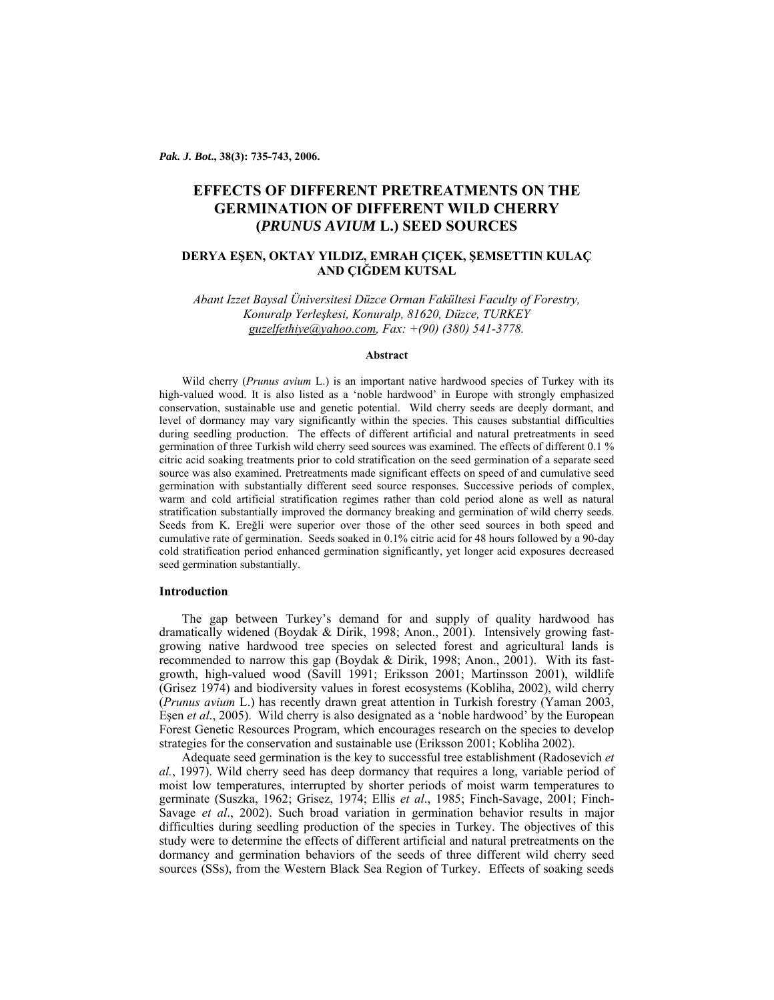*Pak. J. Bot***., 38(3): 735-743, 2006.** 

# **EFFECTS OF DIFFERENT PRETREATMENTS ON THE GERMINATION OF DIFFERENT WILD CHERRY (***PRUNUS AVIUM* **L.) SEED SOURCES**

## **DERYA EŞEN, OKTAY YILDIZ, EMRAH ÇIÇEK, ŞEMSETTIN KULAÇ AND ÇIĞDEM KUTSAL**

*Abant Izzet Baysal Üniversitesi Düzce Orman Fakültesi Faculty of Forestry, Konuralp Yerleşkesi, Konuralp, 81620, Düzce, TURKEY guzelfethiye@yahoo.com, Fax: +(90) (380) 541-3778.* 

## **Abstract**

Wild cherry (*Prunus avium* L.) is an important native hardwood species of Turkey with its high-valued wood. It is also listed as a 'noble hardwood' in Europe with strongly emphasized conservation, sustainable use and genetic potential. Wild cherry seeds are deeply dormant, and level of dormancy may vary significantly within the species. This causes substantial difficulties during seedling production. The effects of different artificial and natural pretreatments in seed germination of three Turkish wild cherry seed sources was examined. The effects of different 0.1 % citric acid soaking treatments prior to cold stratification on the seed germination of a separate seed source was also examined. Pretreatments made significant effects on speed of and cumulative seed germination with substantially different seed source responses. Successive periods of complex, warm and cold artificial stratification regimes rather than cold period alone as well as natural stratification substantially improved the dormancy breaking and germination of wild cherry seeds. Seeds from K. Ereğli were superior over those of the other seed sources in both speed and cumulative rate of germination. Seeds soaked in 0.1% citric acid for 48 hours followed by a 90-day cold stratification period enhanced germination significantly, yet longer acid exposures decreased seed germination substantially.

## **Introduction**

The gap between Turkey's demand for and supply of quality hardwood has dramatically widened (Boydak & Dirik, 1998; Anon., 2001). Intensively growing fastgrowing native hardwood tree species on selected forest and agricultural lands is recommended to narrow this gap (Boydak & Dirik, 1998; Anon., 2001). With its fastgrowth, high-valued wood (Savill 1991; Eriksson 2001; Martinsson 2001), wildlife (Grisez 1974) and biodiversity values in forest ecosystems (Kobliha, 2002), wild cherry (*Prunus avium* L.) has recently drawn great attention in Turkish forestry (Yaman 2003, Eşen *et al*., 2005). Wild cherry is also designated as a 'noble hardwood' by the European Forest Genetic Resources Program, which encourages research on the species to develop strategies for the conservation and sustainable use (Eriksson 2001; Kobliha 2002).

Adequate seed germination is the key to successful tree establishment (Radosevich *et al.*, 1997). Wild cherry seed has deep dormancy that requires a long, variable period of moist low temperatures, interrupted by shorter periods of moist warm temperatures to germinate (Suszka, 1962; Grisez, 1974; Ellis *et al*., 1985; Finch-Savage, 2001; Finch-Savage *et al*., 2002). Such broad variation in germination behavior results in major difficulties during seedling production of the species in Turkey. The objectives of this study were to determine the effects of different artificial and natural pretreatments on the dormancy and germination behaviors of the seeds of three different wild cherry seed sources (SSs), from the Western Black Sea Region of Turkey. Effects of soaking seeds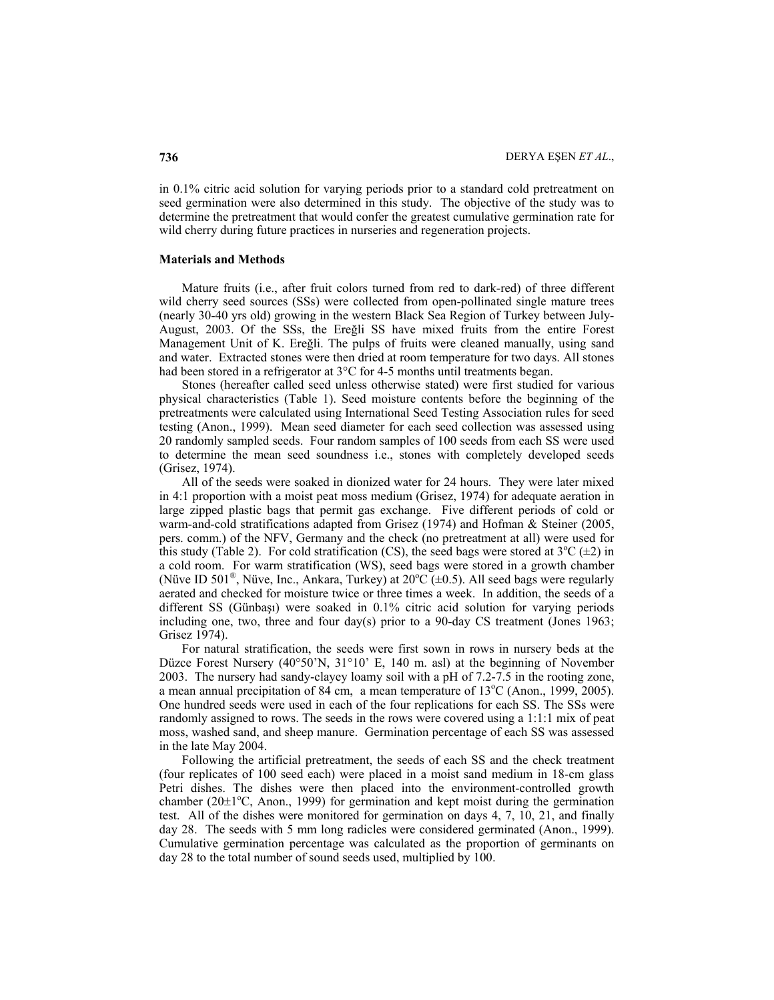in 0.1% citric acid solution for varying periods prior to a standard cold pretreatment on seed germination were also determined in this study. The objective of the study was to determine the pretreatment that would confer the greatest cumulative germination rate for wild cherry during future practices in nurseries and regeneration projects.

## **Materials and Methods**

Mature fruits (i.e., after fruit colors turned from red to dark-red) of three different wild cherry seed sources (SSs) were collected from open-pollinated single mature trees (nearly 30-40 yrs old) growing in the western Black Sea Region of Turkey between July-August, 2003. Of the SSs, the Ereğli SS have mixed fruits from the entire Forest Management Unit of K. Ereğli. The pulps of fruits were cleaned manually, using sand and water. Extracted stones were then dried at room temperature for two days. All stones had been stored in a refrigerator at 3<sup>o</sup>C for 4-5 months until treatments began.

Stones (hereafter called seed unless otherwise stated) were first studied for various physical characteristics (Table 1). Seed moisture contents before the beginning of the pretreatments were calculated using International Seed Testing Association rules for seed testing (Anon., 1999). Mean seed diameter for each seed collection was assessed using 20 randomly sampled seeds. Four random samples of 100 seeds from each SS were used to determine the mean seed soundness i.e., stones with completely developed seeds (Grisez, 1974).

All of the seeds were soaked in dionized water for 24 hours. They were later mixed in 4:1 proportion with a moist peat moss medium (Grisez, 1974) for adequate aeration in large zipped plastic bags that permit gas exchange. Five different periods of cold or warm-and-cold stratifications adapted from Grisez (1974) and Hofman & Steiner (2005, pers. comm.) of the NFV, Germany and the check (no pretreatment at all) were used for this study (Table 2). For cold stratification (CS), the seed bags were stored at  $3^{\circ}C (\pm 2)$  in a cold room. For warm stratification (WS), seed bags were stored in a growth chamber (Nüve ID 501<sup>®</sup>, Nüve, Inc., Ankara, Turkey) at  $20^{\circ}$ C (±0.5). All seed bags were regularly aerated and checked for moisture twice or three times a week. In addition, the seeds of a different SS (Günbaşı) were soaked in 0.1% citric acid solution for varying periods including one, two, three and four day(s) prior to a 90-day CS treatment (Jones 1963; Grisez 1974).

For natural stratification, the seeds were first sown in rows in nursery beds at the Düzce Forest Nursery (40°50'N, 31°10' E, 140 m. asl) at the beginning of November 2003. The nursery had sandy-clayey loamy soil with a pH of 7.2-7.5 in the rooting zone, a mean annual precipitation of  $84 \text{ cm}$ , a mean temperature of  $13^{\circ}$ C (Anon., 1999, 2005). One hundred seeds were used in each of the four replications for each SS. The SSs were randomly assigned to rows. The seeds in the rows were covered using a 1:1:1 mix of peat moss, washed sand, and sheep manure. Germination percentage of each SS was assessed in the late May 2004.

Following the artificial pretreatment, the seeds of each SS and the check treatment (four replicates of 100 seed each) were placed in a moist sand medium in 18-cm glass Petri dishes. The dishes were then placed into the environment-controlled growth chamber ( $20\pm1^{\circ}$ C, Anon., 1999) for germination and kept moist during the germination test. All of the dishes were monitored for germination on days 4, 7, 10, 21, and finally day 28. The seeds with 5 mm long radicles were considered germinated (Anon., 1999). Cumulative germination percentage was calculated as the proportion of germinants on day 28 to the total number of sound seeds used, multiplied by 100.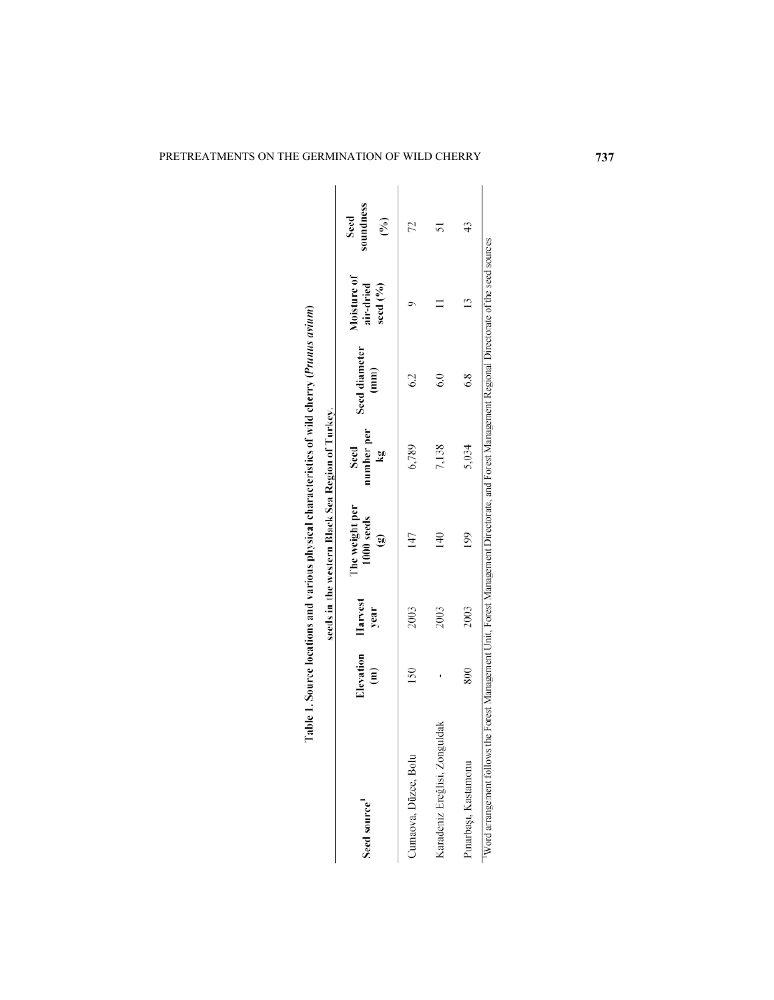|                               |                                             |      | seeds in the western Black Sea Region of Turkey.       |                         |                       |                                      |                        |
|-------------------------------|---------------------------------------------|------|--------------------------------------------------------|-------------------------|-----------------------|--------------------------------------|------------------------|
| Seed source'                  | Elevation Harvest<br>$\widehat{\mathbf{e}}$ | year | The weight per<br>1000 seeds<br>$\widehat{\mathbf{e}}$ | number per<br>Seed<br>ă | Seed diameter<br>(mm) | Moisture of<br>air-dried<br>seed (%) | soundness<br>Seed<br>ම |
| Cumaova, Düzce, Bolu          | 150                                         | 2003 | 147                                                    | 6,789                   | $^{62}$               |                                      | 22                     |
| Karadeniz Ereğlisi, Zonguldak |                                             | 2003 | $\frac{40}{5}$                                         | 7,138                   | $\widetilde{\circ}$   |                                      | 5                      |
| Pınarbaşı, Kastamonu          | 800                                         | 2003 | 199                                                    | 5,034                   | 6.8                   |                                      | 43                     |

Table 1. Source locations and various physical characteristics of wild cherry (Prunus avium)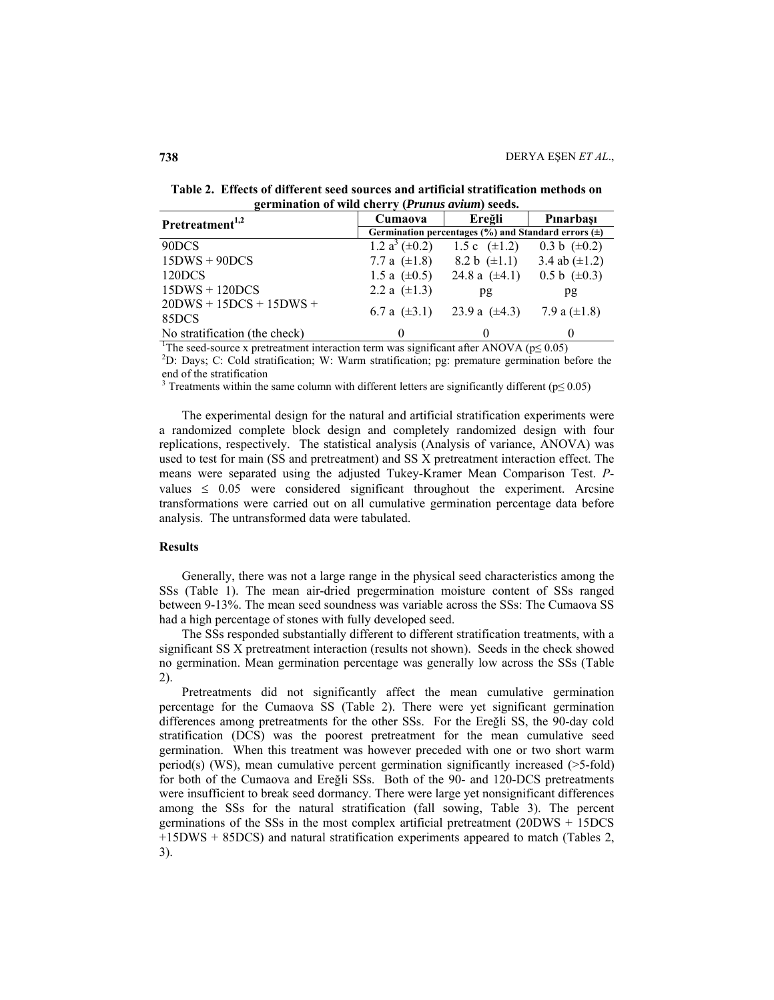**Table 2. Effects of different seed sources and artificial stratification methods on germination of wild cherry (***Prunus avium***) seeds.**

| Pretreatment <sup>1,2</sup>        | Cumaova                                                    | Ereğli                                                 | Pinarbasi          |
|------------------------------------|------------------------------------------------------------|--------------------------------------------------------|--------------------|
|                                    | Germination percentages $(\%)$ and Standard errors $(\pm)$ |                                                        |                    |
| 90DCS                              | 1.2 $a^3 (\pm 0.2)$                                        | 1.5 c $(\pm 1.2)$                                      | 0.3 b $(\pm 0.2)$  |
| $15DWS + 90DCS$                    | 7.7 a $(\pm 1.8)$                                          | 8.2 b $(\pm 1.1)$                                      | 3.4 ab $(\pm 1.2)$ |
| 120DCS                             | 1.5 a $(\pm 0.5)$                                          | 24.8 a $(\pm 4.1)$                                     | 0.5 b $(\pm 0.3)$  |
| $15DWS + 120DCS$                   | 2.2 a $(\pm 1.3)$                                          | pg                                                     | pg                 |
| $20DWS + 15DCS + 15DWS +$<br>85DCS |                                                            | 6.7 a $(\pm 3.1)$ 23.9 a $(\pm 4.3)$ 7.9 a $(\pm 1.8)$ |                    |
| No stratification (the check)      | $\theta$                                                   |                                                        |                    |

<sup>1</sup>The seed-source x pretreatment interaction term was significant after ANOVA ( $p \le 0.05$ )<sup>2</sup>D: Dava: C: Cold etratification: W: Werm etratification: pay premature germination b

D: Days; C: Cold stratification; W: Warm stratification; pg: premature germination before the end of the stratification

<sup>3</sup> Treatments within the same column with different letters are significantly different ( $p \le 0.05$ )

The experimental design for the natural and artificial stratification experiments were a randomized complete block design and completely randomized design with four replications, respectively. The statistical analysis (Analysis of variance, ANOVA) was used to test for main (SS and pretreatment) and SS X pretreatment interaction effect. The means were separated using the adjusted Tukey-Kramer Mean Comparison Test. *P*values  $\leq$  0.05 were considered significant throughout the experiment. Arcsine transformations were carried out on all cumulative germination percentage data before analysis. The untransformed data were tabulated.

## **Results**

Generally, there was not a large range in the physical seed characteristics among the SSs (Table 1). The mean air-dried pregermination moisture content of SSs ranged between 9-13%. The mean seed soundness was variable across the SSs: The Cumaova SS had a high percentage of stones with fully developed seed.

The SSs responded substantially different to different stratification treatments, with a significant SS X pretreatment interaction (results not shown). Seeds in the check showed no germination. Mean germination percentage was generally low across the SSs (Table 2).

Pretreatments did not significantly affect the mean cumulative germination percentage for the Cumaova SS (Table 2). There were yet significant germination differences among pretreatments for the other SSs. For the Ereğli SS, the 90-day cold stratification (DCS) was the poorest pretreatment for the mean cumulative seed germination. When this treatment was however preceded with one or two short warm period(s) (WS), mean cumulative percent germination significantly increased (>5-fold) for both of the Cumaova and Ereğli SSs. Both of the 90- and 120-DCS pretreatments were insufficient to break seed dormancy. There were large yet nonsignificant differences among the SSs for the natural stratification (fall sowing, Table 3). The percent germinations of the SSs in the most complex artificial pretreatment (20DWS + 15DCS +15DWS + 85DCS) and natural stratification experiments appeared to match (Tables 2, 3).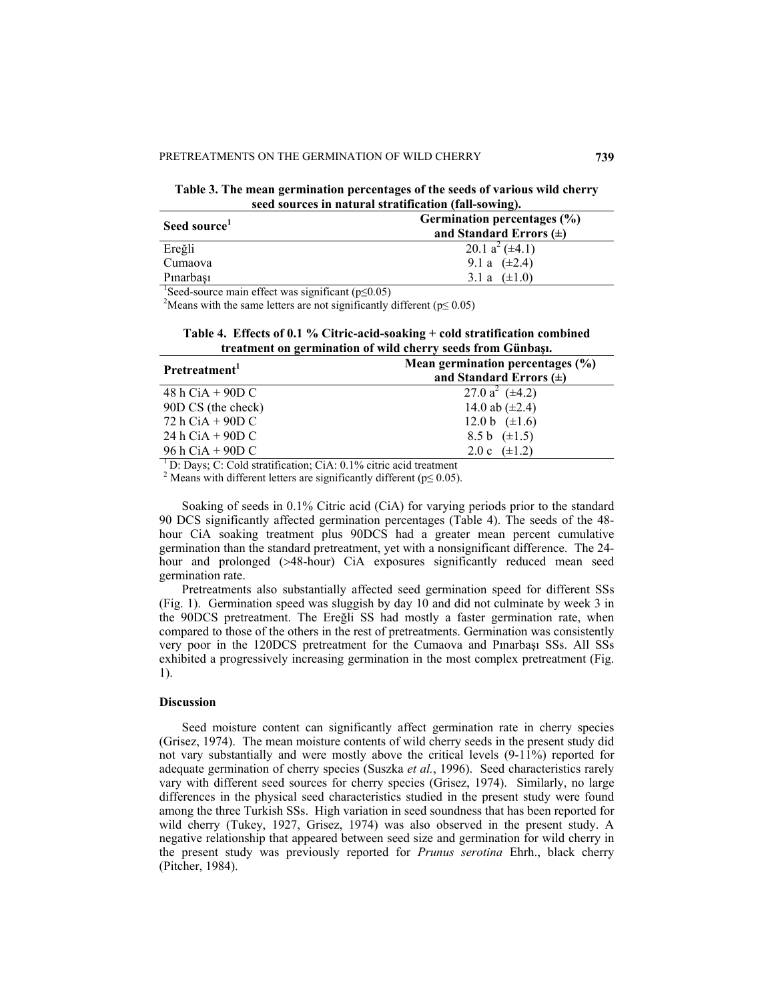**Table 3. The mean germination percentages of the seeds of various wild cherry seed sources in natural stratification (fall-sowing).** 

| Seed source <sup>1</sup>                                        | Germination percentages (%) |
|-----------------------------------------------------------------|-----------------------------|
|                                                                 | and Standard Errors $(\pm)$ |
| Ereğli                                                          | 20.1 $a^2$ ( $\pm$ 4.1)     |
| Cumaova                                                         | 9.1 a $(\pm 2.4)$           |
| Pinarbasi                                                       | $(\pm 1.0)$<br>3.1 a        |
| $\frac{1}{2}$ course main effect was significant ( $n < 0.05$ ) |                             |

Seed-source main effect was significant ( $p \le 0.05$ )<sup>2</sup>Means with the same latters are not significantly

<sup>2</sup>Means with the same letters are not significantly different ( $p \le 0.05$ )

**Table 4. Effects of 0.1 % Citric-acid-soaking + cold stratification combined treatment on germination of wild cherry seeds from Günbaşı.** 

| Pretreatment <sup>1</sup> | Mean germination percentages $(\% )$<br>and Standard Errors $(\pm)$ |
|---------------------------|---------------------------------------------------------------------|
| 48 h CiA $+$ 90D C        | 27.0 $a^2$ ( $\pm$ 4.2)                                             |
| 90D CS (the check)        | 14.0 ab $(\pm 2.4)$                                                 |
| $72 h CiA + 90 D C$       | 12.0 b $(\pm 1.6)$                                                  |
| 24 h CiA $+$ 90D C        | 8.5 b $(\pm 1.5)$                                                   |
| 96 h CiA + 90D C          | $(\pm 1.2)$<br>2.0c                                                 |

1 D: Days; C: Cold stratification; CiA: 0.1% citric acid treatment

<sup>2</sup> Means with different letters are significantly different ( $p \le 0.05$ ).

Soaking of seeds in 0.1% Citric acid (CiA) for varying periods prior to the standard 90 DCS significantly affected germination percentages (Table 4). The seeds of the 48 hour CiA soaking treatment plus 90DCS had a greater mean percent cumulative germination than the standard pretreatment, yet with a nonsignificant difference. The 24 hour and prolonged (>48-hour) CiA exposures significantly reduced mean seed germination rate.

Pretreatments also substantially affected seed germination speed for different SSs (Fig. 1). Germination speed was sluggish by day 10 and did not culminate by week 3 in the 90DCS pretreatment. The Ereğli SS had mostly a faster germination rate, when compared to those of the others in the rest of pretreatments. Germination was consistently very poor in the 120DCS pretreatment for the Cumaova and Pınarbaşı SSs. All SSs exhibited a progressively increasing germination in the most complex pretreatment (Fig. 1).

## **Discussion**

Seed moisture content can significantly affect germination rate in cherry species (Grisez, 1974). The mean moisture contents of wild cherry seeds in the present study did not vary substantially and were mostly above the critical levels (9-11%) reported for adequate germination of cherry species (Suszka *et al.*, 1996). Seed characteristics rarely vary with different seed sources for cherry species (Grisez, 1974). Similarly, no large differences in the physical seed characteristics studied in the present study were found among the three Turkish SSs. High variation in seed soundness that has been reported for wild cherry (Tukey, 1927, Grisez, 1974) was also observed in the present study. A negative relationship that appeared between seed size and germination for wild cherry in the present study was previously reported for *Prunus serotina* Ehrh., black cherry (Pitcher, 1984).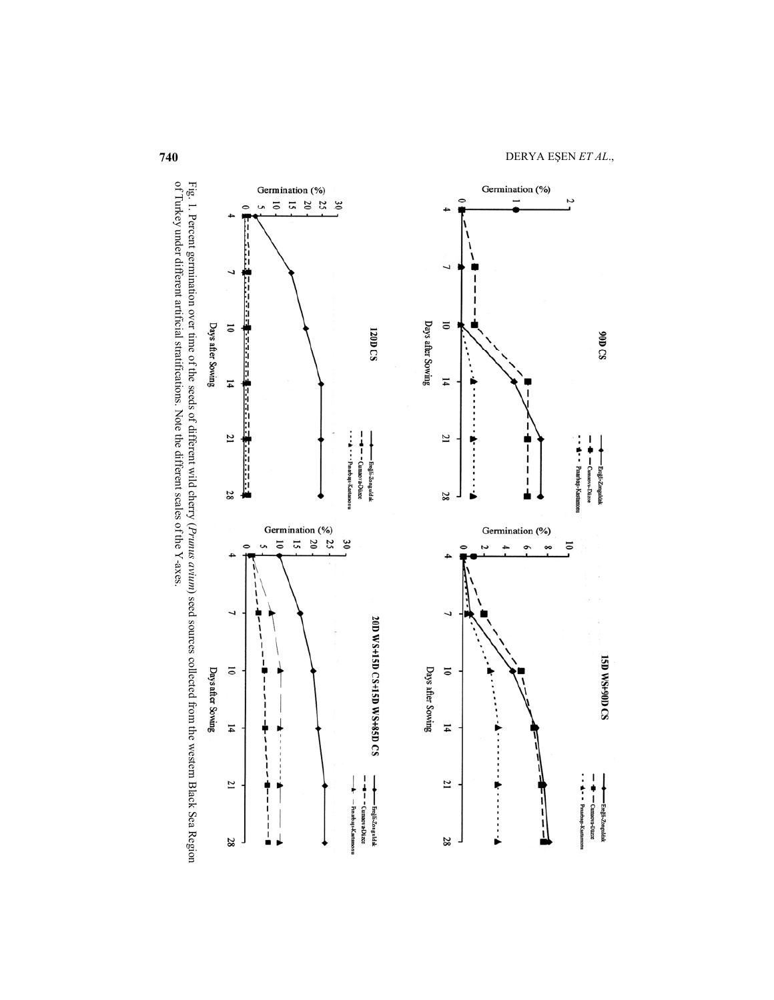

Fig. 1. Percent germination over time of the seeds of different wild cherry (*Prumus avium*) seed sources collected from the western Black Sea Region of Turkey under different artificial stratifications. Note the different of Turkey under different artificial stratifications. Note the different scales of the Y-axes. Fig. 1. Percent germination over time of the seeds of different wild cherry () seed sources collected from the western Black Sea Region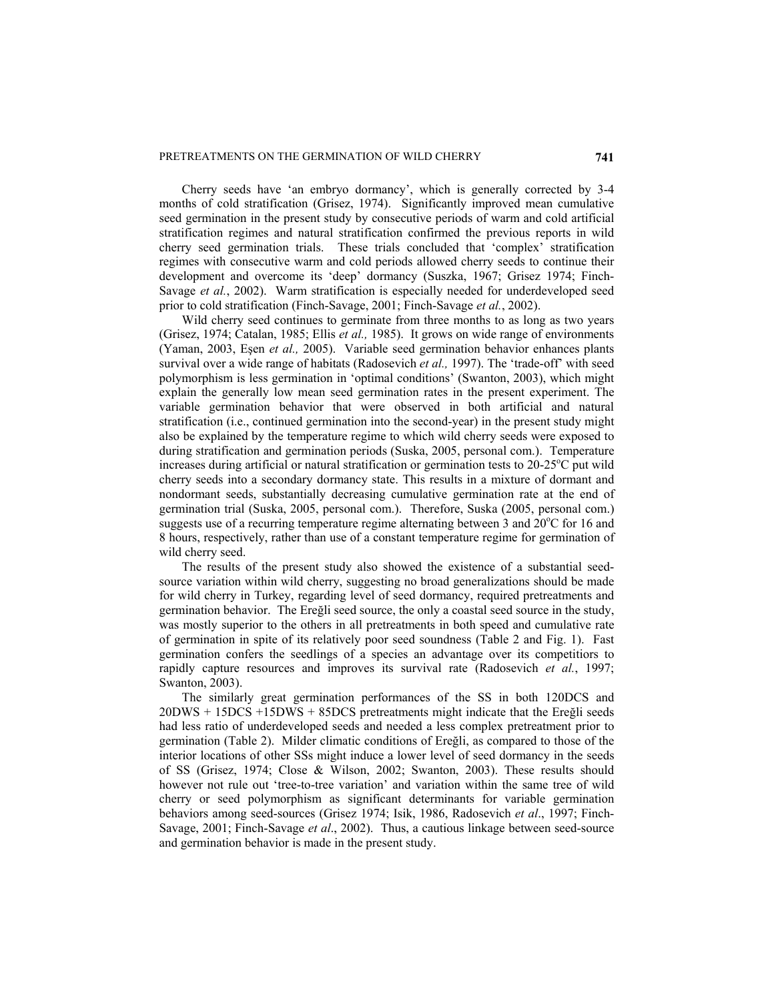Cherry seeds have 'an embryo dormancy', which is generally corrected by 3-4 months of cold stratification (Grisez, 1974). Significantly improved mean cumulative seed germination in the present study by consecutive periods of warm and cold artificial stratification regimes and natural stratification confirmed the previous reports in wild cherry seed germination trials. These trials concluded that 'complex' stratification regimes with consecutive warm and cold periods allowed cherry seeds to continue their development and overcome its 'deep' dormancy (Suszka, 1967; Grisez 1974; Finch-Savage *et al.*, 2002). Warm stratification is especially needed for underdeveloped seed prior to cold stratification (Finch-Savage, 2001; Finch-Savage *et al.*, 2002).

Wild cherry seed continues to germinate from three months to as long as two years (Grisez, 1974; Catalan, 1985; Ellis *et al.,* 1985). It grows on wide range of environments (Yaman, 2003, Eşen *et al.,* 2005). Variable seed germination behavior enhances plants survival over a wide range of habitats (Radosevich *et al.,* 1997). The 'trade-off' with seed polymorphism is less germination in 'optimal conditions' (Swanton, 2003), which might explain the generally low mean seed germination rates in the present experiment. The variable germination behavior that were observed in both artificial and natural stratification (i.e., continued germination into the second-year) in the present study might also be explained by the temperature regime to which wild cherry seeds were exposed to during stratification and germination periods (Suska, 2005, personal com.). Temperature increases during artificial or natural stratification or germination tests to  $20-25^{\circ}$ C put wild cherry seeds into a secondary dormancy state. This results in a mixture of dormant and nondormant seeds, substantially decreasing cumulative germination rate at the end of germination trial (Suska, 2005, personal com.). Therefore, Suska (2005, personal com.) suggests use of a recurring temperature regime alternating between  $\overline{3}$  and  $\overline{20^{\circ}C}$  for 16 and 8 hours, respectively, rather than use of a constant temperature regime for germination of wild cherry seed.

The results of the present study also showed the existence of a substantial seedsource variation within wild cherry, suggesting no broad generalizations should be made for wild cherry in Turkey, regarding level of seed dormancy, required pretreatments and germination behavior. The Ereğli seed source, the only a coastal seed source in the study, was mostly superior to the others in all pretreatments in both speed and cumulative rate of germination in spite of its relatively poor seed soundness (Table 2 and Fig. 1). Fast germination confers the seedlings of a species an advantage over its competitiors to rapidly capture resources and improves its survival rate (Radosevich *et al.*, 1997; Swanton, 2003).

The similarly great germination performances of the SS in both 120DCS and 20DWS + 15DCS +15DWS + 85DCS pretreatments might indicate that the Ereğli seeds had less ratio of underdeveloped seeds and needed a less complex pretreatment prior to germination (Table 2). Milder climatic conditions of Ereğli, as compared to those of the interior locations of other SSs might induce a lower level of seed dormancy in the seeds of SS (Grisez, 1974; Close & Wilson, 2002; Swanton, 2003). These results should however not rule out 'tree-to-tree variation' and variation within the same tree of wild cherry or seed polymorphism as significant determinants for variable germination behaviors among seed-sources (Grisez 1974; Isik, 1986, Radosevich *et al*., 1997; Finch-Savage, 2001; Finch-Savage *et al*., 2002). Thus, a cautious linkage between seed-source and germination behavior is made in the present study.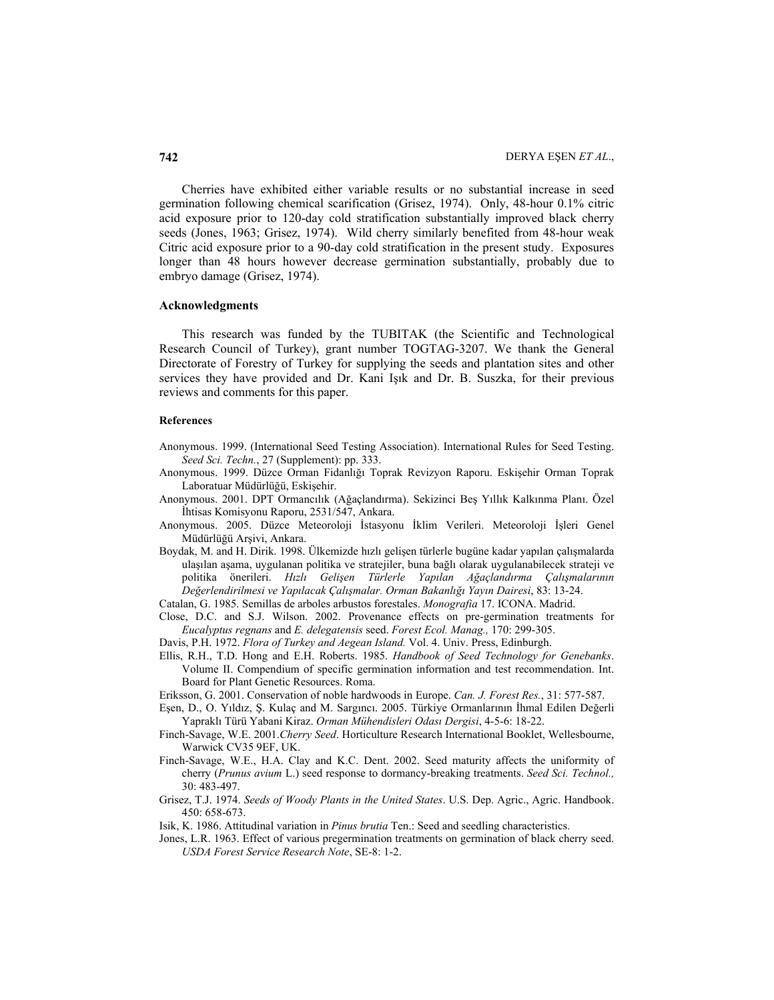Cherries have exhibited either variable results or no substantial increase in seed germination following chemical scarification (Grisez, 1974). Only, 48-hour 0.1% citric acid exposure prior to 120-day cold stratification substantially improved black cherry seeds (Jones, 1963; Grisez, 1974). Wild cherry similarly benefited from 48-hour weak Citric acid exposure prior to a 90-day cold stratification in the present study. Exposures longer than 48 hours however decrease germination substantially, probably due to embryo damage (Grisez, 1974).

## **Acknowledgments**

This research was funded by the TUBITAK (the Scientific and Technological Research Council of Turkey), grant number TOGTAG-3207. We thank the General Directorate of Forestry of Turkey for supplying the seeds and plantation sites and other services they have provided and Dr. Kani Işık and Dr. B. Suszka, for their previous reviews and comments for this paper.

#### **References**

- Anonymous. 1999. (International Seed Testing Association). International Rules for Seed Testing. *Seed Sci. Techn.*, 27 (Supplement): pp. 333.
- Anonymous. 1999. Düzce Orman Fidanlığı Toprak Revizyon Raporu. Eskişehir Orman Toprak Laboratuar Müdürlüğü, Eskişehir.
- Anonymous. 2001. DPT Ormancılık (Ağaçlandırma). Sekizinci Beş Yıllık Kalkınma Planı. Özel İhtisas Komisyonu Raporu, 2531/547, Ankara.
- Anonymous. 2005. Düzce Meteoroloji İstasyonu İklim Verileri. Meteoroloji İşleri Genel Müdürlüğü Arşivi, Ankara.
- Boydak, M. and H. Dirik. 1998. Ülkemizde hızlı gelişen türlerle bugüne kadar yapılan çalışmalarda ulaşılan aşama, uygulanan politika ve stratejiler, buna bağlı olarak uygulanabilecek strateji ve politika önerileri. *Hızlı Gelişen Türlerle Yapılan Ağaçlandırma Çalışmalarının Değerlendirilmesi ve Yapılacak Çalışmalar. Orman Bakanlığı Yayın Dairesi*, 83: 13-24.
- Catalan, G. 1985. Semillas de arboles arbustos forestales. *Monografia* 17. ICONA. Madrid.
- Close, D.C. and S.J. Wilson. 2002. Provenance effects on pre-germination treatments for *Eucalyptus regnans* and *E. delegatensis* seed. *Forest Ecol. Manag.,* 170: 299-305.
- Davis, P.H. 1972. *Flora of Turkey and Aegean Island.* Vol. 4. Univ. Press, Edinburgh.
- Ellis, R.H., T.D. Hong and E.H. Roberts. 1985. *Handbook of Seed Technology for Genebanks*. Volume II. Compendium of specific germination information and test recommendation. Int. Board for Plant Genetic Resources. Roma.
- Eriksson, G. 2001. Conservation of noble hardwoods in Europe. *Can. J. Forest Res.*, 31: 577-587.
- Eşen, D., O. Yıldız, Ş. Kulaç and M. Sargıncı. 2005. Türkiye Ormanlarının İhmal Edilen Değerli Yapraklı Türü Yabani Kiraz. *Orman Mühendisleri Odası Dergisi*, 4-5-6: 18-22.
- Finch-Savage, W.E. 2001.*Cherry Seed*. Horticulture Research International Booklet, Wellesbourne, Warwick CV35 9EF, UK.
- Finch-Savage, W.E., H.A. Clay and K.C. Dent. 2002. Seed maturity affects the uniformity of cherry (*Prunus avium* L.) seed response to dormancy-breaking treatments. *Seed Sci. Technol.,* 30: 483-497.
- Grisez, T.J. 1974. *Seeds of Woody Plants in the United States*. U.S. Dep. Agric., Agric. Handbook. 450: 658-673.
- Isik, K. 1986. Attitudinal variation in *Pinus brutia* Ten.: Seed and seedling characteristics.
- Jones, L.R. 1963. Effect of various pregermination treatments on germination of black cherry seed. *USDA Forest Service Research Note*, SE-8: 1-2.